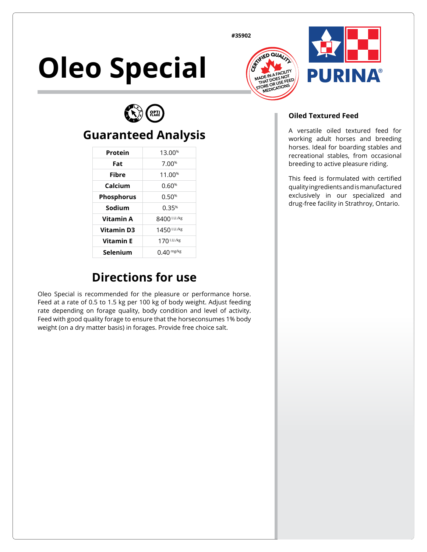**#35902**

# **Oleo Special**







#### **Guaranteed Analysis**

| Protein           | 13.00 <sup>%</sup> |
|-------------------|--------------------|
| Fat               | 7.00%              |
| Fibre             | 11.00 <sup>%</sup> |
| Calcium           | 0.60%              |
| <b>Phosphorus</b> | 0.50%              |
| Sodium            | 0.35%              |
| <b>Vitamin A</b>  | 8400 I.U./kg       |
| <b>Vitamin D3</b> | 1450 I.U./kg       |
| <b>Vitamin F</b>  | 170 I.U./kg        |
| Selenium          | $0.40$ mg/kg       |

## **Directions for use**

Oleo Special is recommended for the pleasure or performance horse. Feed at a rate of 0.5 to 1.5 kg per 100 kg of body weight. Adjust feeding rate depending on forage quality, body condition and level of activity. Feed with good quality forage to ensure that the horseconsumes 1% body weight (on a dry matter basis) in forages. Provide free choice salt.

#### **Oiled Textured Feed**

A versatile oiled textured feed for working adult horses and breeding horses. Ideal for boarding stables and recreational stables, from occasional breeding to active pleasure riding.

This feed is formulated with certified quality ingredients and is manufactured exclusively in our specialized and drug‑free facility in Strathroy, Ontario.